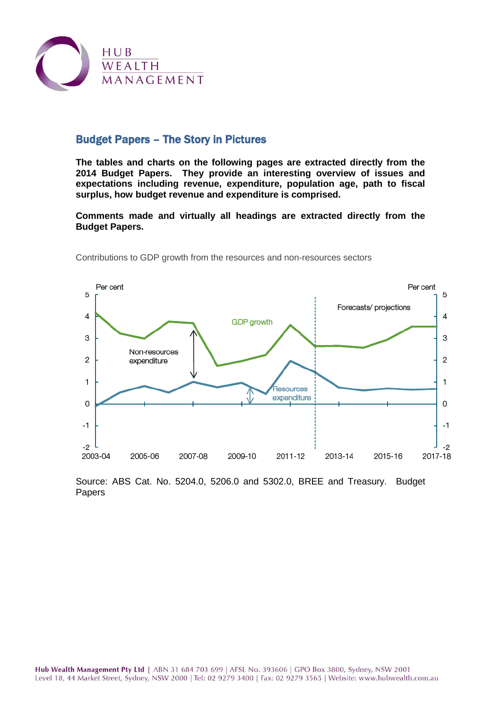

### Budget Papers – The Story in Pictures

**The tables and charts on the following pages are extracted directly from the 2014 Budget Papers. They provide an interesting overview of issues and expectations including revenue, expenditure, population age, path to fiscal surplus, how budget revenue and expenditure is comprised.**

**Comments made and virtually all headings are extracted directly from the Budget Papers.**



Contributions to GDP growth from the resources and non-resources sectors

Source: ABS Cat. No. 5204.0, 5206.0 and 5302.0, BREE and Treasury. Budget Papers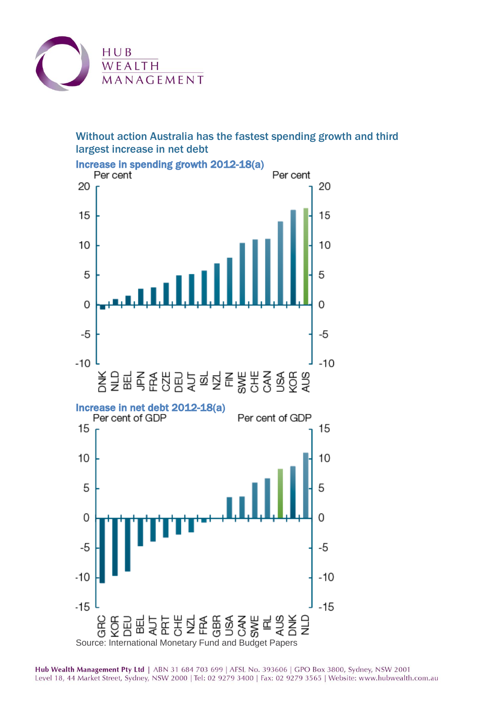

# Without action Australia has the fastest spending growth and third largest increase in net debt



Increase in spending growth 2012-18(a)<br>Per cent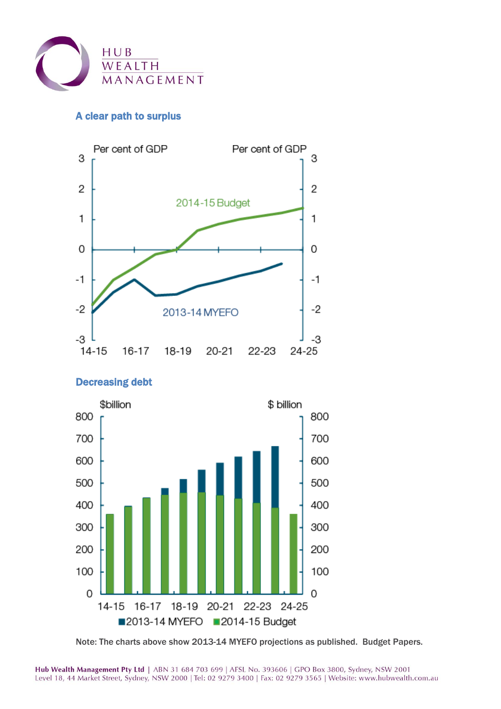

# A clear path to surplus





#### Note: The charts above show 2013-14 MYEFO projections as published. Budget Papers.

### Decreasing debt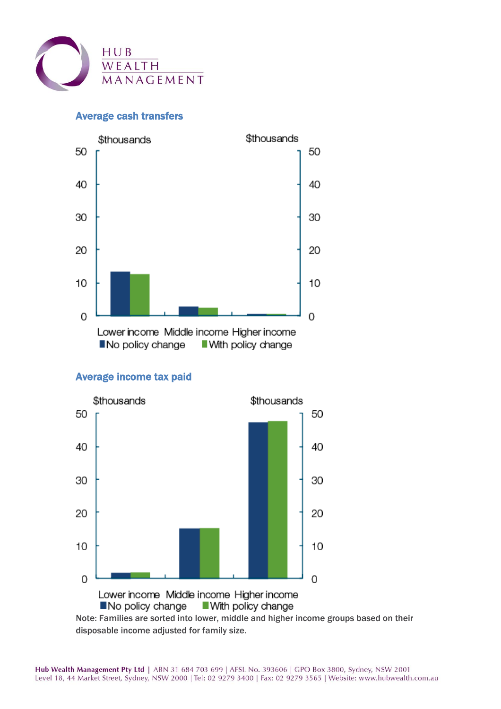

#### Average cash transfers



#### Average income tax paid



Note: Families are sorted into lower, middle and higher income groups based on their disposable income adjusted for family size.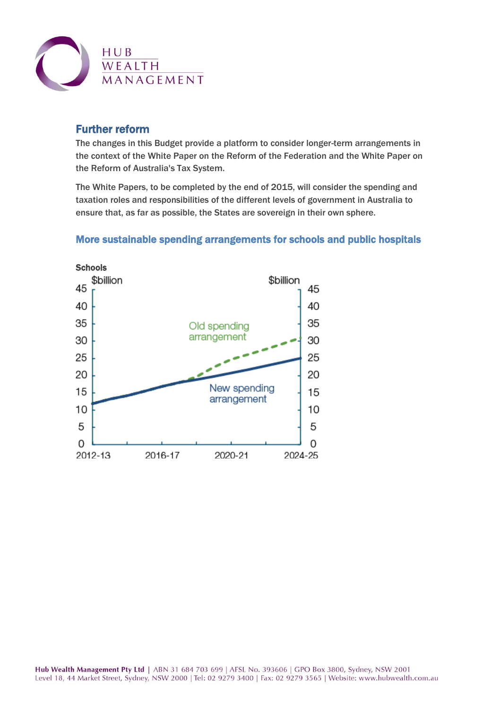

### Further reform

The changes in this Budget provide a platform to consider longer-term arrangements in the context of the White Paper on the Reform of the Federation and the White Paper on the Reform of Australia's Tax System.

The White Papers, to be completed by the end of 2015, will consider the spending and taxation roles and responsibilities of the different levels of government in Australia to ensure that, as far as possible, the States are sovereign in their own sphere.

### More sustainable spending arrangements for schools and public hospitals

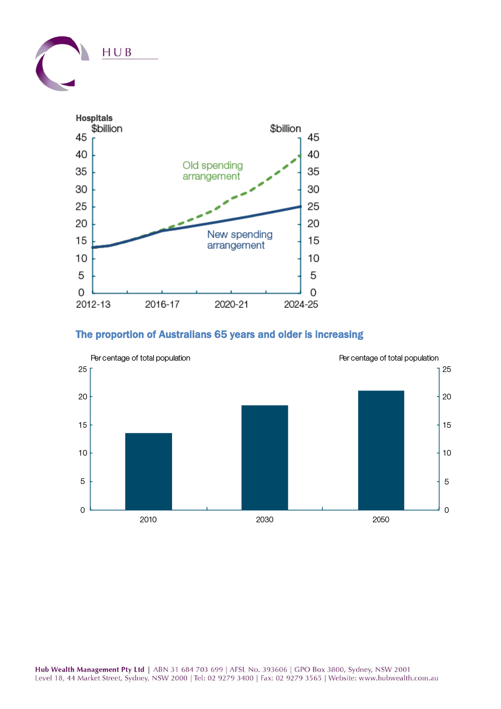



### The proportion of Australians 65 years and older is increasing

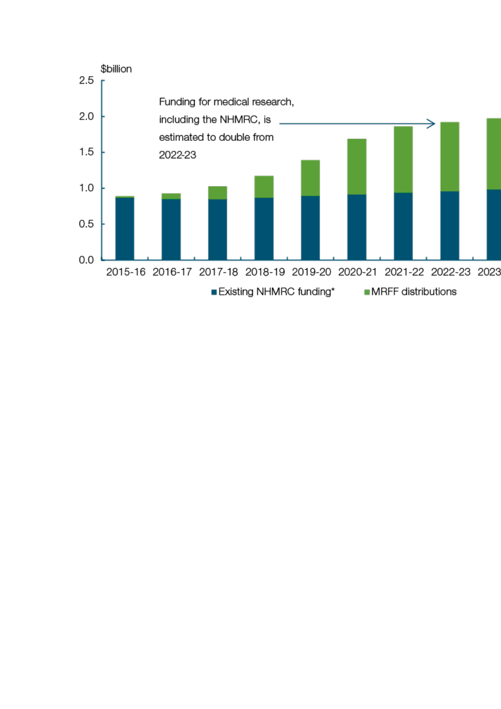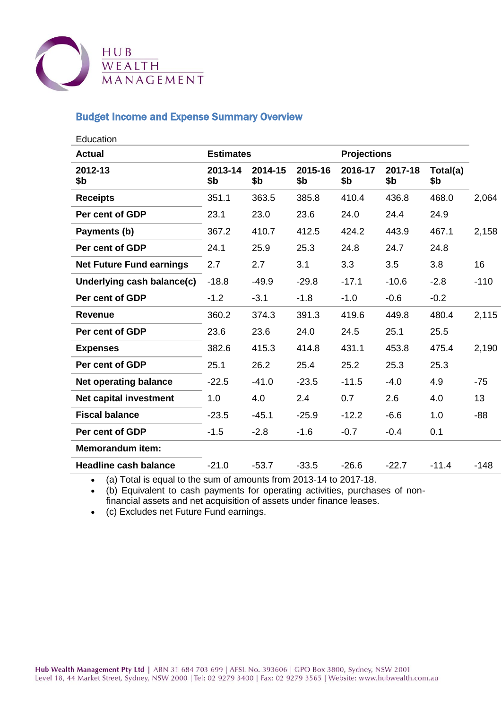

### Budget Income and Expense Summary Overview

| Education                       |                  |                |                |                    |                |                 |        |
|---------------------------------|------------------|----------------|----------------|--------------------|----------------|-----------------|--------|
| <b>Actual</b>                   | <b>Estimates</b> |                |                | <b>Projections</b> |                |                 |        |
| 2012-13<br>\$b                  | 2013-14<br>\$b   | 2014-15<br>\$b | 2015-16<br>\$b | 2016-17<br>\$b     | 2017-18<br>\$b | Total(a)<br>\$b |        |
| <b>Receipts</b>                 | 351.1            | 363.5          | 385.8          | 410.4              | 436.8          | 468.0           | 2,064  |
| Per cent of GDP                 | 23.1             | 23.0           | 23.6           | 24.0               | 24.4           | 24.9            |        |
| Payments (b)                    | 367.2            | 410.7          | 412.5          | 424.2              | 443.9          | 467.1           | 2,158  |
| Per cent of GDP                 | 24.1             | 25.9           | 25.3           | 24.8               | 24.7           | 24.8            |        |
| <b>Net Future Fund earnings</b> | 2.7              | 2.7            | 3.1            | 3.3                | 3.5            | 3.8             | 16     |
| Underlying cash balance(c)      | $-18.8$          | $-49.9$        | $-29.8$        | $-17.1$            | $-10.6$        | $-2.8$          | $-110$ |
| Per cent of GDP                 | $-1.2$           | $-3.1$         | $-1.8$         | $-1.0$             | $-0.6$         | $-0.2$          |        |
| <b>Revenue</b>                  | 360.2            | 374.3          | 391.3          | 419.6              | 449.8          | 480.4           | 2,115  |
| Per cent of GDP                 | 23.6             | 23.6           | 24.0           | 24.5               | 25.1           | 25.5            |        |
| <b>Expenses</b>                 | 382.6            | 415.3          | 414.8          | 431.1              | 453.8          | 475.4           | 2,190  |
| Per cent of GDP                 | 25.1             | 26.2           | 25.4           | 25.2               | 25.3           | 25.3            |        |
| <b>Net operating balance</b>    | $-22.5$          | $-41.0$        | $-23.5$        | $-11.5$            | $-4.0$         | 4.9             | $-75$  |
| Net capital investment          | 1.0              | 4.0            | 2.4            | 0.7                | 2.6            | 4.0             | 13     |
| <b>Fiscal balance</b>           | $-23.5$          | $-45.1$        | $-25.9$        | $-12.2$            | $-6.6$         | 1.0             | -88    |
| Per cent of GDP                 | $-1.5$           | $-2.8$         | $-1.6$         | $-0.7$             | $-0.4$         | 0.1             |        |
| <b>Memorandum item:</b>         |                  |                |                |                    |                |                 |        |
| <b>Headline cash balance</b>    | $-21.0$          | $-53.7$        | $-33.5$        | $-26.6$            | $-22.7$        | $-11.4$         | $-148$ |

(a) Total is equal to the sum of amounts from 2013-14 to 2017-18.

 (b) Equivalent to cash payments for operating activities, purchases of nonfinancial assets and net acquisition of assets under finance leases.

(c) Excludes net Future Fund earnings.